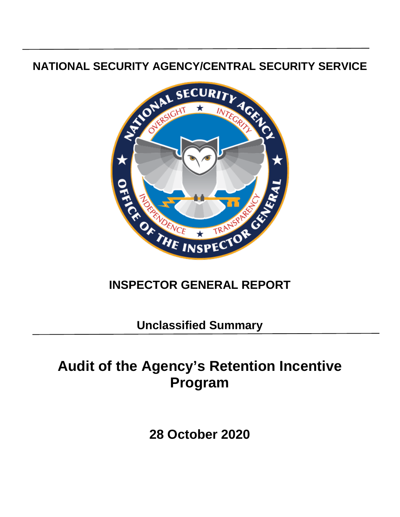### **NATIONAL SECURITY AGENCY/CENTRAL SECURITY SERVICE**



## **INSPECTOR GENERAL REPORT**

**Unclassified Summary**

# **Audit of the Agency's Retention Incentive Program**

**28 October 2020**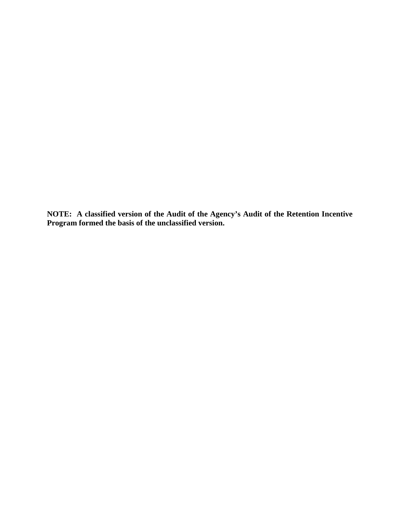**NOTE: A classified version of the Audit of the Agency's Audit of the Retention Incentive Program formed the basis of the unclassified version.**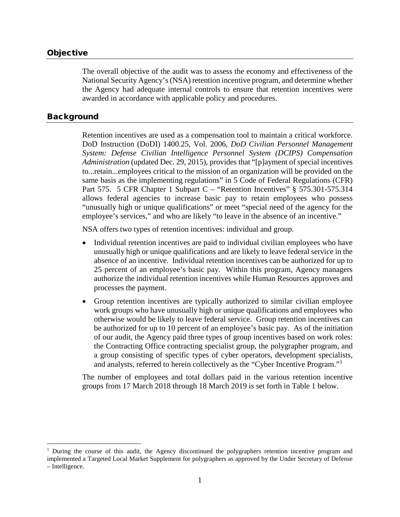#### **Objective**

The overall objective of the audit was to assess the economy and effectiveness of the National Security Agency's (NSA) retention incentive program, and determine whether the Agency had adequate internal controls to ensure that retention incentives were awarded in accordance with applicable policy and procedures.

#### Background

Retention incentives are used as a compensation tool to maintain a critical workforce. DoD Instruction (DoDI) 1400.25, Vol. 2006, *DoD Civilian Personnel Management System: Defense Civilian Intelligence Personnel System (DCIPS) Compensation Administration* (updated Dec. 29, 2015), provides that "[p]ayment of special incentives to...retain...employees critical to the mission of an organization will be provided on the same basis as the implementing regulations" in 5 Code of Federal Regulations (CFR) Part 575. 5 CFR Chapter 1 Subpart C – "Retention Incentives" § 575.301-575.314 allows federal agencies to increase basic pay to retain employees who possess "unusually high or unique qualifications" or meet "special need of the agency for the employee's services," and who are likely "to leave in the absence of an incentive."

NSA offers two types of retention incentives: individual and group.

- Individual retention incentives are paid to individual civilian employees who have unusually high or unique qualifications and are likely to leave federal service in the absence of an incentive. Individual retention incentives can be authorized for up to 25 percent of an employee's basic pay. Within this program, Agency managers authorize the individual retention incentives while Human Resources approves and processes the payment.
- Group retention incentives are typically authorized to similar civilian employee work groups who have unusually high or unique qualifications and employees who otherwise would be likely to leave federal service. Group retention incentives can be authorized for up to 10 percent of an employee's basic pay. As of the initiation of our audit, the Agency paid three types of group incentives based on work roles: the Contracting Office contracting specialist group, the polygrapher program, and a group consisting of specific types of cyber operators, development specialists, and analysts, referred to herein collectively as the "Cyber Incentive Program."[1](#page-2-0)

The number of employees and total dollars paid in the various retention incentive groups from 17 March 2018 through 18 March 2019 is set forth in Table 1 below.

<span id="page-2-0"></span><sup>&</sup>lt;sup>1</sup> During the course of this audit, the Agency discontinued the polygraphers retention incentive program and implemented a Targeted Local Market Supplement for polygraphers as approved by the Under Secretary of Defense – Intelligence.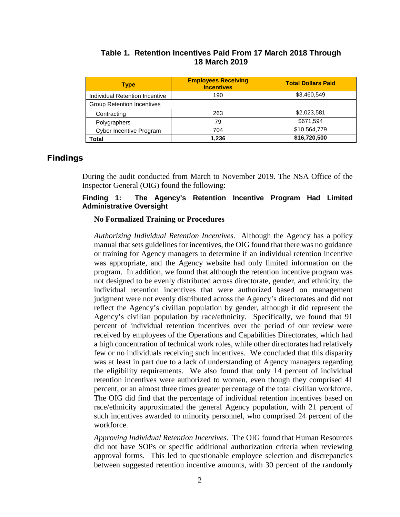|                      |  | Table 1. Retention Incentives Paid From 17 March 2018 Through |  |
|----------------------|--|---------------------------------------------------------------|--|
| <b>18 March 2019</b> |  |                                                               |  |

| <b>Type</b>                       | <b>Employees Receiving</b><br><b>Incentives</b> | <b>Total Dollars Paid</b> |
|-----------------------------------|-------------------------------------------------|---------------------------|
| Individual Retention Incentive    | 190                                             | \$3,460,549               |
| <b>Group Retention Incentives</b> |                                                 |                           |
| Contracting                       | 263                                             | \$2,023,581               |
| Polygraphers                      | 79                                              | \$671,594                 |
| <b>Cyber Incentive Program</b>    | 704                                             | \$10,564,779              |
| Total                             | 1,236                                           | \$16,720,500              |

#### Findings

During the audit conducted from March to November 2019. The NSA Office of the Inspector General (OIG) found the following:

#### **Finding 1: The Agency's Retention Incentive Program Had Limited Administrative Oversight**

#### **No Formalized Training or Procedures**

*Authorizing Individual Retention Incentives.* Although the Agency has a policy manual that sets guidelines for incentives, the OIG found that there was no guidance or training for Agency managers to determine if an individual retention incentive was appropriate, and the Agency website had only limited information on the program. In addition, we found that although the retention incentive program was not designed to be evenly distributed across directorate, gender, and ethnicity, the individual retention incentives that were authorized based on management judgment were not evenly distributed across the Agency's directorates and did not reflect the Agency's civilian population by gender, although it did represent the Agency's civilian population by race/ethnicity. Specifically, we found that 91 percent of individual retention incentives over the period of our review were received by employees of the Operations and Capabilities Directorates, which had a high concentration of technical work roles, while other directorates had relatively few or no individuals receiving such incentives. We concluded that this disparity was at least in part due to a lack of understanding of Agency managers regarding the eligibility requirements. We also found that only 14 percent of individual retention incentives were authorized to women, even though they comprised 41 percent, or an almost three times greater percentage of the total civilian workforce. The OIG did find that the percentage of individual retention incentives based on race/ethnicity approximated the general Agency population, with 21 percent of such incentives awarded to minority personnel, who comprised 24 percent of the workforce.

*Approving Individual Retention Incentives.* The OIG found that Human Resources did not have SOPs or specific additional authorization criteria when reviewing approval forms. This led to questionable employee selection and discrepancies between suggested retention incentive amounts, with 30 percent of the randomly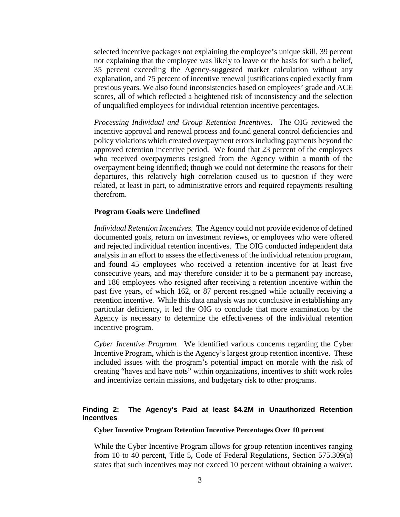selected incentive packages not explaining the employee's unique skill, 39 percent not explaining that the employee was likely to leave or the basis for such a belief, 35 percent exceeding the Agency-suggested market calculation without any explanation, and 75 percent of incentive renewal justifications copied exactly from previous years. We also found inconsistencies based on employees' grade and ACE scores, all of which reflected a heightened risk of inconsistency and the selection of unqualified employees for individual retention incentive percentages.

*Processing Individual and Group Retention Incentives.* The OIG reviewed the incentive approval and renewal process and found general control deficiencies and policy violations which created overpayment errors including payments beyond the approved retention incentive period. We found that 23 percent of the employees who received overpayments resigned from the Agency within a month of the overpayment being identified; though we could not determine the reasons for their departures, this relatively high correlation caused us to question if they were related, at least in part, to administrative errors and required repayments resulting therefrom.

#### **Program Goals were Undefined**

*Individual Retention Incentives.* The Agency could not provide evidence of defined documented goals, return on investment reviews, or employees who were offered and rejected individual retention incentives. The OIG conducted independent data analysis in an effort to assess the effectiveness of the individual retention program, and found 45 employees who received a retention incentive for at least five consecutive years, and may therefore consider it to be a permanent pay increase, and 186 employees who resigned after receiving a retention incentive within the past five years, of which 162, or 87 percent resigned while actually receiving a retention incentive. While this data analysis was not conclusive in establishing any particular deficiency, it led the OIG to conclude that more examination by the Agency is necessary to determine the effectiveness of the individual retention incentive program.

*Cyber Incentive Program.* We identified various concerns regarding the Cyber Incentive Program, which is the Agency's largest group retention incentive. These included issues with the program's potential impact on morale with the risk of creating "haves and have nots" within organizations, incentives to shift work roles and incentivize certain missions, and budgetary risk to other programs.

#### **Finding 2: The Agency's Paid at least \$4.2M in Unauthorized Retention Incentives**

#### **Cyber Incentive Program Retention Incentive Percentages Over 10 percent**

While the Cyber Incentive Program allows for group retention incentives ranging from 10 to 40 percent, Title 5, Code of Federal Regulations, Section 575.309(a) states that such incentives may not exceed 10 percent without obtaining a waiver.